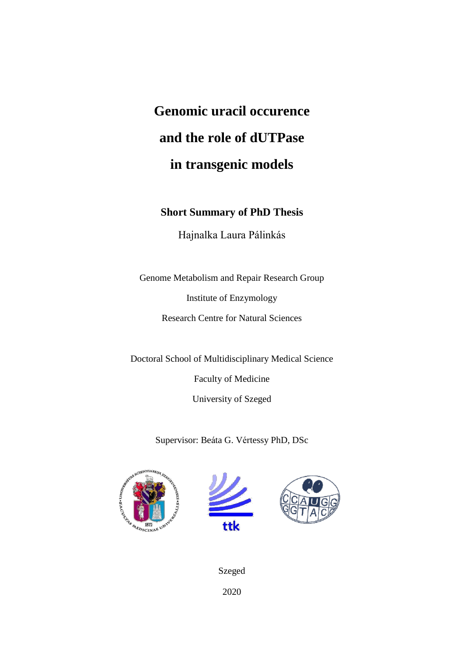# **Genomic uracil occurence and the role of dUTPase in transgenic models**

# **Short Summary of PhD Thesis**

Hajnalka Laura Pálinkás

Genome Metabolism and Repair Research Group Institute of Enzymology Research Centre for Natural Sciences

Doctoral School of Multidisciplinary Medical Science Faculty of Medicine University of Szeged

Supervisor: Beáta G. Vértessy PhD, DSc







Szeged 2020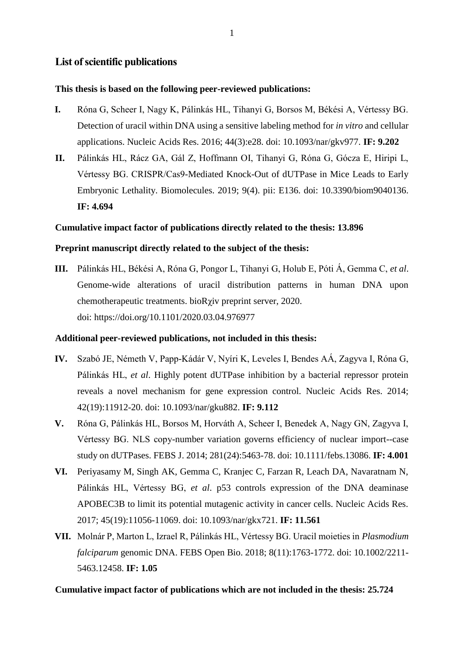# **List of scientific publications**

## **This thesis is based on the following peer-reviewed publications:**

- **I.** Róna G, Scheer I, Nagy K, Pálinkás HL, Tihanyi G, Borsos M, Békési A, Vértessy BG. Detection of uracil within DNA using a sensitive labeling method for *in vitro* and cellular applications. Nucleic Acids Res. 2016; 44(3):e28. doi: 10.1093/nar/gkv977. **IF: 9.202**
- **II.** Pálinkás HL, Rácz GA, Gál Z, Hoffmann OI, Tihanyi G, Róna G, Gócza E, Hiripi L, Vértessy BG. CRISPR/Cas9-Mediated Knock-Out of dUTPase in Mice Leads to Early Embryonic Lethality. Biomolecules. 2019; 9(4). pii: E136. doi: 10.3390/biom9040136. **IF: 4.694**

### **Cumulative impact factor of publications directly related to the thesis: 13.896**

### **Preprint manuscript directly related to the subject of the thesis:**

**III.** Pálinkás HL, Békési A, Róna G, Pongor L, Tihanyi G, Holub E, Póti Á, Gemma C, *et al*. Genome-wide alterations of uracil distribution patterns in human DNA upon chemotherapeutic treatments. bioRχiv preprint server, 2020. doi: https://doi.org/10.1101/2020.03.04.976977

#### **Additional peer-reviewed publications, not included in this thesis:**

- **IV.** Szabó JE, Németh V, Papp-Kádár V, Nyíri K, Leveles I, Bendes AÁ, Zagyva I, Róna G, Pálinkás HL, *et al*. Highly potent dUTPase inhibition by a bacterial repressor protein reveals a novel mechanism for gene expression control. Nucleic Acids Res. 2014; 42(19):11912-20. doi: 10.1093/nar/gku882. **IF: 9.112**
- **V.** Róna G, Pálinkás HL, Borsos M, Horváth A, Scheer I, Benedek A, Nagy GN, Zagyva I, Vértessy BG. NLS copy-number variation governs efficiency of nuclear import--case study on dUTPases. FEBS J. 2014; 281(24):5463-78. doi: 10.1111/febs.13086. **IF: 4.001**
- **VI.** Periyasamy M, Singh AK, Gemma C, Kranjec C, Farzan R, Leach DA, Navaratnam N, Pálinkás HL, Vértessy BG, *et al*. p53 controls expression of the DNA deaminase APOBEC3B to limit its potential mutagenic activity in cancer cells. Nucleic Acids Res. 2017; 45(19):11056-11069. doi: 10.1093/nar/gkx721. **IF: 11.561**
- **VII.** Molnár P, Marton L, Izrael R, Pálinkás HL, Vértessy BG. Uracil moieties in *Plasmodium falciparum* genomic DNA. FEBS Open Bio. 2018; 8(11):1763-1772. doi: 10.1002/2211- 5463.12458. **IF: 1.05**

## **Cumulative impact factor of publications which are not included in the thesis: 25.724**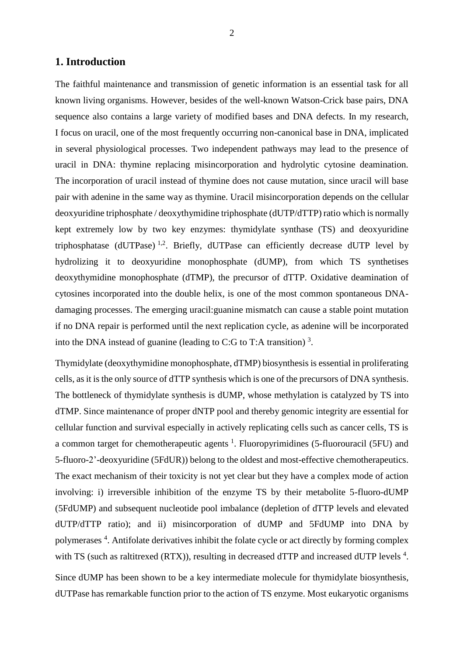## **1. Introduction**

The faithful maintenance and transmission of genetic information is an essential task for all known living organisms. However, besides of the well-known Watson-Crick base pairs, DNA sequence also contains a large variety of modified bases and DNA defects. In my research, I focus on uracil, one of the most frequently occurring non-canonical base in DNA, implicated in several physiological processes. Two independent pathways may lead to the presence of uracil in DNA: thymine replacing misincorporation and hydrolytic cytosine deamination. The incorporation of uracil instead of thymine does not cause mutation, since uracil will base pair with adenine in the same way as thymine. Uracil misincorporation depends on the cellular deoxyuridine triphosphate / deoxythymidine triphosphate (dUTP/dTTP) ratio which is normally kept extremely low by two key enzymes: thymidylate synthase (TS) and deoxyuridine triphosphatase  $(dUTPase)^{1,2}$ . Briefly,  $dUTPase$  can efficiently decrease  $dUTP$  level by hydrolizing it to deoxyuridine monophosphate (dUMP), from which TS synthetises deoxythymidine monophosphate (dTMP), the precursor of dTTP. Oxidative deamination of cytosines incorporated into the double helix, is one of the most common spontaneous DNAdamaging processes. The emerging uracil:guanine mismatch can cause a stable point mutation if no DNA repair is performed until the next replication cycle, as adenine will be incorporated into the DNA instead of guanine (leading to C:G to T:A transition)<sup>3</sup>.

Thymidylate (deoxythymidine monophosphate, dTMP) biosynthesis is essential in proliferating cells, as it is the only source of dTTP synthesis which is one of the precursors of DNA synthesis. The bottleneck of thymidylate synthesis is dUMP, whose methylation is catalyzed by TS into dTMP. Since maintenance of proper dNTP pool and thereby genomic integrity are essential for cellular function and survival especially in actively replicating cells such as cancer cells, TS is a common target for chemotherapeutic agents  $<sup>1</sup>$ . Fluoropyrimidines (5-fluorouracil (5FU) and</sup> 5-fluoro-2'-deoxyuridine (5FdUR)) belong to the oldest and most-effective chemotherapeutics. The exact mechanism of their toxicity is not yet clear but they have a complex mode of action involving: i) irreversible inhibition of the enzyme TS by their metabolite 5-fluoro-dUMP (5FdUMP) and subsequent nucleotide pool imbalance (depletion of dTTP levels and elevated dUTP/dTTP ratio); and ii) misincorporation of dUMP and 5FdUMP into DNA by polymerases<sup>4</sup>. Antifolate derivatives inhibit the folate cycle or act directly by forming complex with TS (such as raltitrexed (RTX)), resulting in decreased dTTP and increased dUTP levels<sup>4</sup>.

Since dUMP has been shown to be a key intermediate molecule for thymidylate biosynthesis, dUTPase has remarkable function prior to the action of TS enzyme. Most eukaryotic organisms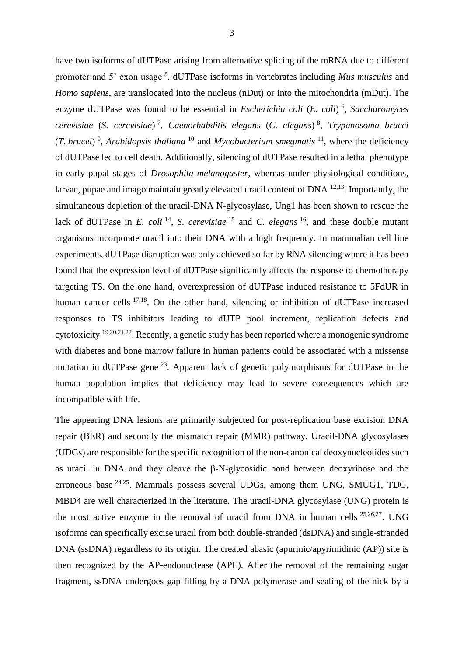have two isoforms of dUTPase arising from alternative splicing of the mRNA due to different promoter and 5' exon usage <sup>5</sup>. dUTPase isoforms in vertebrates including Mus musculus and *Homo sapiens*, are translocated into the nucleus (nDut) or into the mitochondria (mDut). The enzyme dUTPase was found to be essential in *Escherichia coli* (*E. coli*) 6 , *Saccharomyces cerevisiae* (*S. cerevisiae*) 7 , *Caenorhabditis elegans* (*C. elegans*) 8 , *Trypanosoma brucei*  (*T. brucei*) 9 , *Arabidopsis thaliana* <sup>10</sup> and *Mycobacterium smegmatis* <sup>11</sup>, where the deficiency of dUTPase led to cell death. Additionally, silencing of dUTPase resulted in a lethal phenotype in early pupal stages of *Drosophila melanogaster,* whereas under physiological conditions, larvae, pupae and imago maintain greatly elevated uracil content of DNA  $^{12,13}$ . Importantly, the simultaneous depletion of the uracil-DNA N-glycosylase, Ung1 has been shown to rescue the lack of dUTPase in *E. coli*<sup>14</sup>, *S. cerevisiae*<sup>15</sup> and *C. elegans*<sup>16</sup>, and these double mutant organisms incorporate uracil into their DNA with a high frequency. In mammalian cell line experiments, dUTPase disruption was only achieved so far by RNA silencing where it has been found that the expression level of dUTPase significantly affects the response to chemotherapy targeting TS. On the one hand, overexpression of dUTPase induced resistance to 5FdUR in human cancer cells <sup>17,18</sup>. On the other hand, silencing or inhibition of dUTPase increased responses to TS inhibitors leading to dUTP pool increment, replication defects and cytotoxicity 19,20,21,22. Recently, a genetic study has been reported where a monogenic syndrome with diabetes and bone marrow failure in human patients could be associated with a missense mutation in dUTPase gene<sup>23</sup>. Apparent lack of genetic polymorphisms for dUTPase in the human population implies that deficiency may lead to severe consequences which are incompatible with life.

The appearing DNA lesions are primarily subjected for post-replication base excision DNA repair (BER) and secondly the mismatch repair (MMR) pathway. Uracil-DNA glycosylases (UDGs) are responsible for the specific recognition of the non-canonical deoxynucleotides such as uracil in DNA and they cleave the β-N-glycosidic bond between deoxyribose and the erroneous base 24,25. Mammals possess several UDGs, among them UNG, SMUG1, TDG, MBD4 are well characterized in the literature. The uracil-DNA glycosylase (UNG) protein is the most active enzyme in the removal of uracil from DNA in human cells 25,26,27. UNG isoforms can specifically excise uracil from both double-stranded (dsDNA) and single-stranded DNA (ssDNA) regardless to its origin. The created abasic (apurinic/apyrimidinic (AP)) site is then recognized by the AP-endonuclease (APE). After the removal of the remaining sugar fragment, ssDNA undergoes gap filling by a DNA polymerase and sealing of the nick by a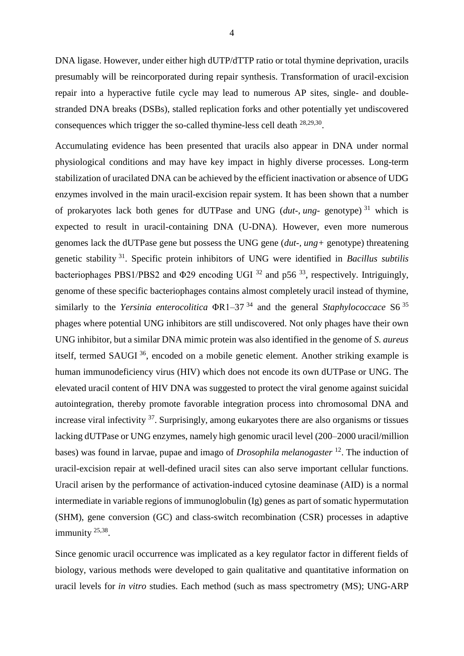DNA ligase. However, under either high dUTP/dTTP ratio or total thymine deprivation, uracils presumably will be reincorporated during repair synthesis. Transformation of uracil-excision repair into a hyperactive futile cycle may lead to numerous AP sites, single- and doublestranded DNA breaks (DSBs), stalled replication forks and other potentially yet undiscovered consequences which trigger the so-called thymine-less cell death <sup>28,29,30</sup>.

Accumulating evidence has been presented that uracils also appear in DNA under normal physiological conditions and may have key impact in highly diverse processes. Long-term stabilization of uracilated DNA can be achieved by the efficient inactivation or absence of UDG enzymes involved in the main uracil-excision repair system. It has been shown that a number of prokaryotes lack both genes for dUTPase and UNG (*dut-, ung-* genotype) <sup>31</sup> which is expected to result in uracil-containing DNA (U-DNA). However, even more numerous genomes lack the dUTPase gene but possess the UNG gene (*dut-, ung+* genotype) threatening genetic stability <sup>31</sup>. Specific protein inhibitors of UNG were identified in *Bacillus subtilis* bacteriophages PBS1/PBS2 and  $\Phi$ 29 encoding UGI  $^{32}$  and p56  $^{33}$ , respectively. Intriguingly, genome of these specific bacteriophages contains almost completely uracil instead of thymine, similarly to the *Yersinia enterocolitica* ΦR1–37 <sup>34</sup> and the general *Staphylococcace* S6 <sup>35</sup> phages where potential UNG inhibitors are still undiscovered. Not only phages have their own UNG inhibitor, but a similar DNA mimic protein was also identified in the genome of *S. aureus*  itself, termed SAUGI <sup>36</sup>, encoded on a mobile genetic element. Another striking example is human immunodeficiency virus (HIV) which does not encode its own dUTPase or UNG. The elevated uracil content of HIV DNA was suggested to protect the viral genome against suicidal autointegration, thereby promote favorable integration process into chromosomal DNA and increase viral infectivity <sup>37</sup>. Surprisingly, among eukaryotes there are also organisms or tissues lacking dUTPase or UNG enzymes, namely high genomic uracil level (200–2000 uracil/million bases) was found in larvae, pupae and imago of *Drosophila melanogaster* <sup>12</sup> . The induction of uracil-excision repair at well-defined uracil sites can also serve important cellular functions. Uracil arisen by the performance of activation-induced cytosine deaminase (AID) is a normal intermediate in variable regions of immunoglobulin (Ig) genes as part of somatic hypermutation (SHM), gene conversion (GC) and class-switch recombination (CSR) processes in adaptive immunity <sup>25,38</sup>.

Since genomic uracil occurrence was implicated as a key regulator factor in different fields of biology, various methods were developed to gain qualitative and quantitative information on uracil levels for *in vitro* studies. Each method (such as mass spectrometry (MS); UNG-ARP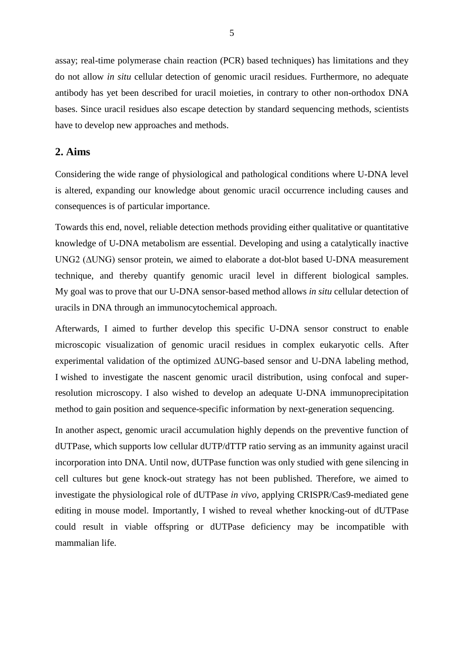assay; real-time polymerase chain reaction (PCR) based techniques) has limitations and they do not allow *in situ* cellular detection of genomic uracil residues. Furthermore, no adequate antibody has yet been described for uracil moieties, in contrary to other non-orthodox DNA bases. Since uracil residues also escape detection by standard sequencing methods, scientists have to develop new approaches and methods.

# **2. Aims**

Considering the wide range of physiological and pathological conditions where U-DNA level is altered, expanding our knowledge about genomic uracil occurrence including causes and consequences is of particular importance.

Towards this end, novel, reliable detection methods providing either qualitative or quantitative knowledge of U-DNA metabolism are essential. Developing and using a catalytically inactive UNG2 (∆UNG) sensor protein, we aimed to elaborate a dot-blot based U-DNA measurement technique, and thereby quantify genomic uracil level in different biological samples. My goal was to prove that our U-DNA sensor-based method allows *in situ* cellular detection of uracils in DNA through an immunocytochemical approach.

Afterwards, I aimed to further develop this specific U-DNA sensor construct to enable microscopic visualization of genomic uracil residues in complex eukaryotic cells. After experimental validation of the optimized ∆UNG-based sensor and U-DNA labeling method, I wished to investigate the nascent genomic uracil distribution, using confocal and superresolution microscopy. I also wished to develop an adequate U-DNA immunoprecipitation method to gain position and sequence-specific information by next-generation sequencing.

In another aspect, genomic uracil accumulation highly depends on the preventive function of dUTPase, which supports low cellular dUTP/dTTP ratio serving as an immunity against uracil incorporation into DNA. Until now, dUTPase function was only studied with gene silencing in cell cultures but gene knock-out strategy has not been published. Therefore, we aimed to investigate the physiological role of dUTPase *in vivo*, applying CRISPR/Cas9-mediated gene editing in mouse model. Importantly, I wished to reveal whether knocking-out of dUTPase could result in viable offspring or dUTPase deficiency may be incompatible with mammalian life.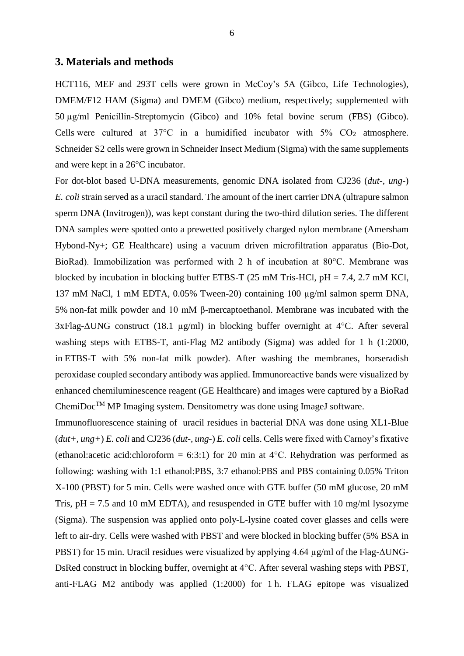#### **3. Materials and methods**

HCT116, MEF and 293T cells were grown in McCoy's 5A (Gibco, Life Technologies), DMEM/F12 HAM (Sigma) and DMEM (Gibco) medium, respectively; supplemented with 50 µg/ml Penicillin-Streptomycin (Gibco) and 10% fetal bovine serum (FBS) (Gibco). Cells were cultured at  $37^{\circ}$ C in a humidified incubator with  $5\%$  CO<sub>2</sub> atmosphere. Schneider S2 cells were grown in Schneider Insect Medium (Sigma) with the same supplements and were kept in a 26°C incubator.

For dot-blot based U-DNA measurements, genomic DNA isolated from CJ236 (*dut-, ung-*) *E. coli* strain served as a uracil standard. The amount of the inert carrier DNA (ultrapure salmon sperm DNA (Invitrogen)), was kept constant during the two-third dilution series. The different DNA samples were spotted onto a prewetted positively charged nylon membrane (Amersham Hybond-Ny+; GE Healthcare) using a vacuum driven microfiltration apparatus (Bio-Dot, BioRad). Immobilization was performed with 2 h of incubation at 80°C. Membrane was blocked by incubation in blocking buffer ETBS-T (25 mM Tris-HCl,  $pH = 7.4$ , 2.7 mM KCl, 137 mM NaCl, 1 mM EDTA, 0.05% Tween-20) containing 100 µg/ml salmon sperm DNA, 5% non-fat milk powder and 10 mM β-mercaptoethanol. Membrane was incubated with the 3xFlag-ΔUNG construct (18.1 µg/ml) in blocking buffer overnight at 4°C. After several washing steps with ETBS-T, anti-Flag M2 antibody (Sigma) was added for 1 h (1:2000, in ETBS-T with 5% non-fat milk powder). After washing the membranes, horseradish peroxidase coupled secondary antibody was applied. Immunoreactive bands were visualized by enhanced chemiluminescence reagent (GE Healthcare) and images were captured by a BioRad  $ChemiDoc<sup>TM</sup> MP$  Imaging system. Densitometry was done using ImageJ software.

Immunofluorescence staining of uracil residues in bacterial DNA was done using XL1-Blue (*dut+, ung+*) *E. coli* and CJ236 (*dut-, ung-*) *E. coli* cells. Cells were fixed with Carnoy's fixative (ethanol:acetic acid:chloroform = 6:3:1) for 20 min at  $4^{\circ}$ C. Rehydration was performed as following: washing with 1:1 ethanol:PBS, 3:7 ethanol:PBS and PBS containing 0.05% Triton X-100 (PBST) for 5 min. Cells were washed once with GTE buffer (50 mM glucose, 20 mM Tris,  $pH = 7.5$  and 10 mM EDTA), and resuspended in GTE buffer with 10 mg/ml lysozyme (Sigma). The suspension was applied onto poly-L-lysine coated cover glasses and cells were left to air-dry. Cells were washed with PBST and were blocked in blocking buffer (5% BSA in PBST) for 15 min. Uracil residues were visualized by applying 4.64 µg/ml of the Flag-ΔUNG-DsRed construct in blocking buffer, overnight at 4°C. After several washing steps with PBST, anti-FLAG M2 antibody was applied (1:2000) for 1 h. FLAG epitope was visualized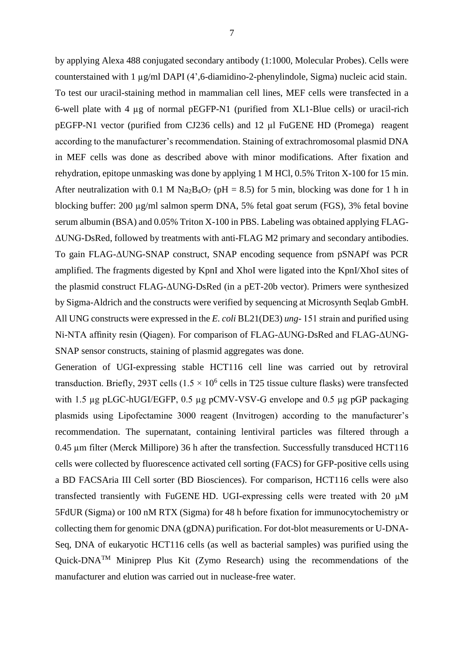by applying Alexa 488 conjugated secondary antibody (1:1000, Molecular Probes). Cells were counterstained with  $1 \mu g/ml$  DAPI (4',6-diamidino-2-phenylindole, Sigma) nucleic acid stain. To test our uracil-staining method in mammalian cell lines, MEF cells were transfected in a 6-well plate with 4 µg of normal pEGFP-N1 (purified from XL1-Blue cells) or uracil-rich pEGFP-N1 vector (purified from CJ236 cells) and 12 µl FuGENE HD (Promega) reagent according to the manufacturer's recommendation. Staining of extrachromosomal plasmid DNA in MEF cells was done as described above with minor modifications. After fixation and rehydration, epitope unmasking was done by applying 1 M HCl, 0.5% Triton X-100 for 15 min. After neutralization with 0.1 M Na<sub>2</sub>B<sub>4</sub>O<sub>7</sub> (pH = 8.5) for 5 min, blocking was done for 1 h in blocking buffer: 200 µg/ml salmon sperm DNA, 5% fetal goat serum (FGS), 3% fetal bovine serum albumin (BSA) and 0.05% Triton X-100 in PBS. Labeling was obtained applying FLAG-ΔUNG-DsRed, followed by treatments with anti-FLAG M2 primary and secondary antibodies. To gain FLAG-ΔUNG-SNAP construct, SNAP encoding sequence from pSNAPf was PCR amplified. The fragments digested by KpnI and XhoI were ligated into the KpnI/XhoI sites of the plasmid construct FLAG-ΔUNG-DsRed (in a pET-20b vector). Primers were synthesized by Sigma-Aldrich and the constructs were verified by sequencing at Microsynth Seqlab GmbH. All UNG constructs were expressed in the *E. coli* BL21(DE3) *ung-* 151 strain and purified using Ni-NTA affinity resin (Qiagen). For comparison of FLAG-ΔUNG-DsRed and FLAG-ΔUNG-SNAP sensor constructs, staining of plasmid aggregates was done.

Generation of UGI-expressing stable HCT116 cell line was carried out by retroviral transduction. Briefly, 293T cells  $(1.5 \times 10^6 \text{ cells in T25 tissue culture flasks})$  were transfected with 1.5 µg pLGC-hUGI/EGFP, 0.5 µg pCMV-VSV-G envelope and 0.5 µg pGP packaging plasmids using Lipofectamine 3000 reagent (Invitrogen) according to the manufacturer's recommendation. The supernatant, containing lentiviral particles was filtered through a 0.45 µm filter (Merck Millipore) 36 h after the transfection. Successfully transduced HCT116 cells were collected by fluorescence activated cell sorting (FACS) for GFP-positive cells using a BD FACSAria III Cell sorter (BD Biosciences). For comparison, HCT116 cells were also transfected transiently with FuGENE HD. UGI-expressing cells were treated with 20 µM 5FdUR (Sigma) or 100 nM RTX (Sigma) for 48 h before fixation for immunocytochemistry or collecting them for genomic DNA (gDNA) purification. For dot-blot measurements or U-DNA-Seq, DNA of eukaryotic HCT116 cells (as well as bacterial samples) was purified using the Quick-DNA<sup>TM</sup> Miniprep Plus Kit (Zymo Research) using the recommendations of the manufacturer and elution was carried out in nuclease-free water.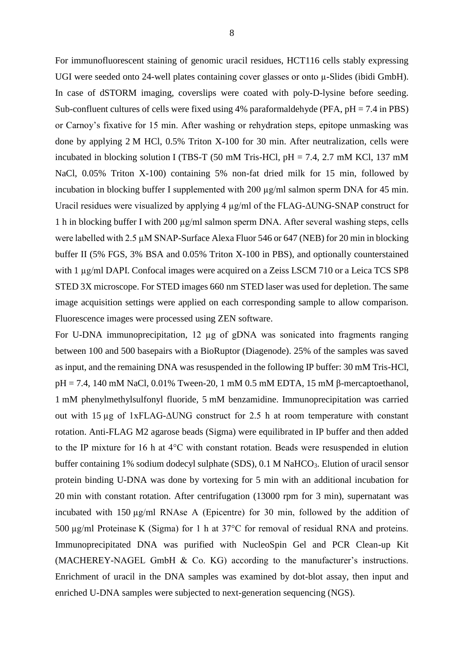For immunofluorescent staining of genomic uracil residues, HCT116 cells stably expressing UGI were seeded onto 24-well plates containing cover glasses or onto  $\mu$ -Slides (ibidi GmbH). In case of dSTORM imaging, coverslips were coated with poly-D-lysine before seeding. Sub-confluent cultures of cells were fixed using 4% paraformaldehyde (PFA,  $pH = 7.4$  in PBS) or Carnoy's fixative for 15 min. After washing or rehydration steps, epitope unmasking was done by applying 2 M HCl, 0.5% Triton X-100 for 30 min. After neutralization, cells were incubated in blocking solution I (TBS-T (50 mM Tris-HCl, pH = 7.4, 2.7 mM KCl, 137 mM NaCl, 0.05% Triton X-100) containing 5% non-fat dried milk for 15 min, followed by incubation in blocking buffer I supplemented with 200 µg/ml salmon sperm DNA for 45 min. Uracil residues were visualized by applying 4 µg/ml of the FLAG-ΔUNG-SNAP construct for 1 h in blocking buffer I with 200 µg/ml salmon sperm DNA. After several washing steps, cells were labelled with 2.5 µM SNAP-Surface Alexa Fluor 546 or 647 (NEB) for 20 min in blocking buffer II (5% FGS, 3% BSA and 0.05% Triton X-100 in PBS), and optionally counterstained with 1  $\mu$ g/ml DAPI. Confocal images were acquired on a Zeiss LSCM 710 or a Leica TCS SP8 STED 3X microscope. For STED images 660 nm STED laser was used for depletion. The same image acquisition settings were applied on each corresponding sample to allow comparison. Fluorescence images were processed using ZEN software.

For U-DNA immunoprecipitation, 12 µg of gDNA was sonicated into fragments ranging between 100 and 500 basepairs with a BioRuptor (Diagenode). 25% of the samples was saved as input, and the remaining DNA was resuspended in the following IP buffer: 30 mM Tris-HCl, pH = 7.4, 140 mM NaCl, 0.01% Tween-20, 1 mM 0.5 mM EDTA, 15 mM β-mercaptoethanol, 1 mM phenylmethylsulfonyl fluoride, 5 mM benzamidine. Immunoprecipitation was carried out with 15 µg of 1xFLAG-ΔUNG construct for 2.5 h at room temperature with constant rotation. Anti-FLAG M2 agarose beads (Sigma) were equilibrated in IP buffer and then added to the IP mixture for 16 h at 4°C with constant rotation. Beads were resuspended in elution buffer containing 1% sodium dodecyl sulphate (SDS), 0.1 M NaHCO<sub>3</sub>. Elution of uracil sensor protein binding U-DNA was done by vortexing for 5 min with an additional incubation for 20 min with constant rotation. After centrifugation (13000 rpm for 3 min), supernatant was incubated with 150 µg/ml RNAse A (Epicentre) for 30 min, followed by the addition of 500 µg/ml Proteinase K (Sigma) for 1 h at 37°C for removal of residual RNA and proteins. Immunoprecipitated DNA was purified with NucleoSpin Gel and PCR Clean-up Kit (MACHEREY-NAGEL GmbH & Co. KG) according to the manufacturer's instructions. Enrichment of uracil in the DNA samples was examined by dot-blot assay, then input and enriched U-DNA samples were subjected to next-generation sequencing (NGS).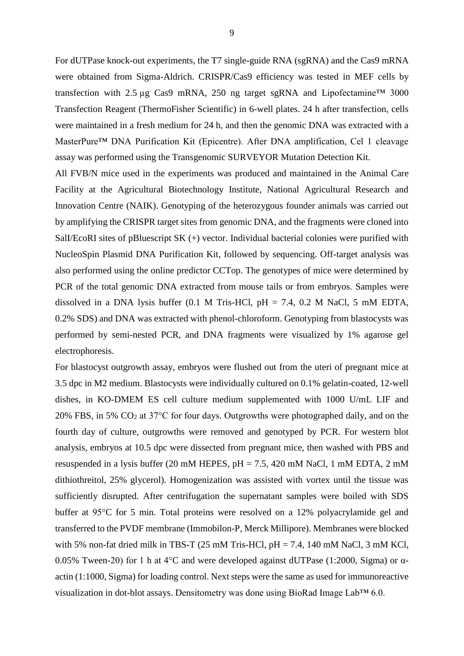For dUTPase knock-out experiments, the T7 single-guide RNA (sgRNA) and the Cas9 mRNA were obtained from Sigma-Aldrich. CRISPR/Cas9 efficiency was tested in MEF cells by transfection with 2.5 µg Cas9 mRNA, 250 ng target sgRNA and Lipofectamine<sup>TM</sup> 3000 Transfection Reagent (ThermoFisher Scientific) in 6-well plates. 24 h after transfection, cells were maintained in a fresh medium for 24 h, and then the genomic DNA was extracted with a MasterPure™ DNA Purification Kit (Epicentre). After DNA amplification, Cel 1 cleavage assay was performed using the Transgenomic SURVEYOR Mutation Detection Kit.

All FVB/N mice used in the experiments was produced and maintained in the Animal Care Facility at the Agricultural Biotechnology Institute, National Agricultural Research and Innovation Centre (NAIK). Genotyping of the heterozygous founder animals was carried out by amplifying the CRISPR target sites from genomic DNA, and the fragments were cloned into SalI/EcoRI sites of pBluescript SK (+) vector. Individual bacterial colonies were purified with NucleoSpin Plasmid DNA Purification Kit, followed by sequencing. Off-target analysis was also performed using the online predictor CCTop. The genotypes of mice were determined by PCR of the total genomic DNA extracted from mouse tails or from embryos. Samples were dissolved in a DNA lysis buffer (0.1 M Tris-HCl,  $pH = 7.4$ , 0.2 M NaCl, 5 mM EDTA, 0.2% SDS) and DNA was extracted with phenol-chloroform. Genotyping from blastocysts was performed by semi-nested PCR, and DNA fragments were visualized by 1% agarose gel electrophoresis.

For blastocyst outgrowth assay, embryos were flushed out from the uteri of pregnant mice at 3.5 dpc in M2 medium. Blastocysts were individually cultured on 0.1% gelatin-coated, 12-well dishes, in KO-DMEM ES cell culture medium supplemented with 1000 U/mL LIF and 20% FBS, in 5%  $CO<sub>2</sub>$  at 37°C for four days. Outgrowths were photographed daily, and on the fourth day of culture, outgrowths were removed and genotyped by PCR. For western blot analysis, embryos at 10.5 dpc were dissected from pregnant mice, then washed with PBS and resuspended in a lysis buffer (20 mM HEPES, pH = 7.5, 420 mM NaCl, 1 mM EDTA, 2 mM dithiothreitol, 25% glycerol). Homogenization was assisted with vortex until the tissue was sufficiently disrupted. After centrifugation the supernatant samples were boiled with SDS buffer at 95°C for 5 min. Total proteins were resolved on a 12% polyacrylamide gel and transferred to the PVDF membrane (Immobilon-P, Merck Millipore). Membranes were blocked with 5% non-fat dried milk in TBS-T (25 mM Tris-HCl,  $pH = 7.4$ , 140 mM NaCl, 3 mM KCl, 0.05% Tween-20) for 1 h at 4°C and were developed against dUTPase (1:2000, Sigma) or αactin (1:1000, Sigma) for loading control. Next steps were the same as used for immunoreactive visualization in dot-blot assays. Densitometry was done using BioRad Image Lab™ 6.0.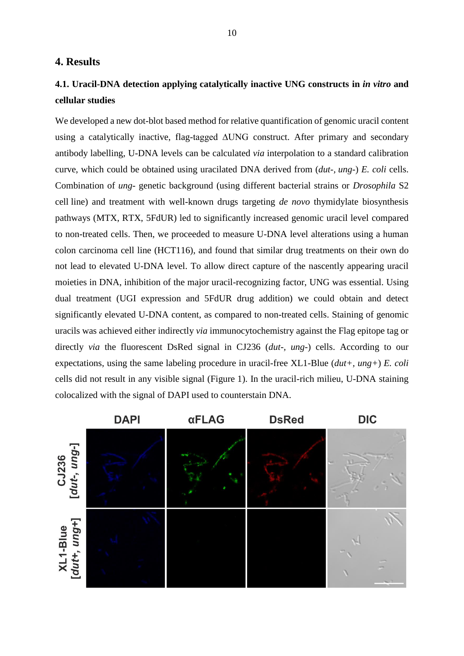# **4. Results**

# **4.1. Uracil-DNA detection applying catalytically inactive UNG constructs in** *in vitro* **and cellular studies**

We developed a new dot-blot based method for relative quantification of genomic uracil content using a catalytically inactive, flag-tagged ∆UNG construct. After primary and secondary antibody labelling, U-DNA levels can be calculated *via* interpolation to a standard calibration curve, which could be obtained using uracilated DNA derived from (*dut-, ung-*) *E. coli* cells. Combination of *ung-* genetic background (using different bacterial strains or *Drosophila* S2 cell line) and treatment with well-known drugs targeting *de novo* thymidylate biosynthesis pathways (MTX, RTX, 5FdUR) led to significantly increased genomic uracil level compared to non-treated cells. Then, we proceeded to measure U-DNA level alterations using a human colon carcinoma cell line (HCT116), and found that similar drug treatments on their own do not lead to elevated U-DNA level. To allow direct capture of the nascently appearing uracil moieties in DNA, inhibition of the major uracil-recognizing factor, UNG was essential. Using dual treatment (UGI expression and 5FdUR drug addition) we could obtain and detect significantly elevated U-DNA content, as compared to non-treated cells. Staining of genomic uracils was achieved either indirectly *via* immunocytochemistry against the Flag epitope tag or directly *via* the fluorescent DsRed signal in CJ236 (*dut-, ung-*) cells. According to our expectations, using the same labeling procedure in uracil-free XL1-Blue (*dut+, ung+*) *E. coli* cells did not result in any visible signal (Figure 1). In the uracil-rich milieu, U-DNA staining colocalized with the signal of DAPI used to counterstain DNA.

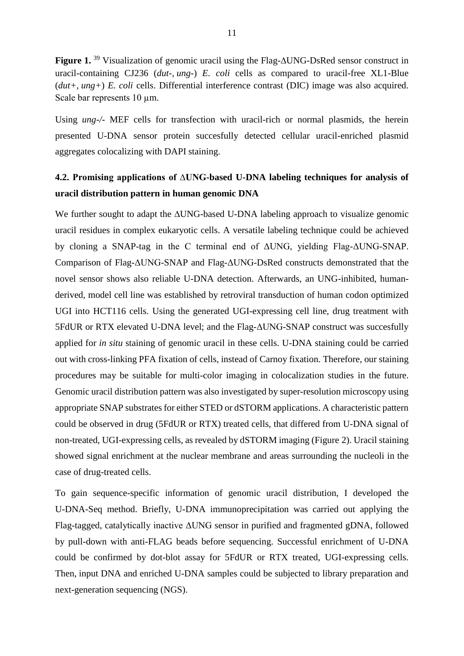**Figure 1.** <sup>39</sup> Visualization of genomic uracil using the Flag-∆UNG-DsRed sensor construct in uracil-containing CJ236 (*dut-, ung-*) *E. coli* cells as compared to uracil-free XL1-Blue (*dut+, ung+*) *E. coli* cells. Differential interference contrast (DIC) image was also acquired. Scale bar represents 10  $\mu$ m.

Using *ung-/-* MEF cells for transfection with uracil-rich or normal plasmids, the herein presented U-DNA sensor protein succesfully detected cellular uracil-enriched plasmid aggregates colocalizing with DAPI staining.

# **4.2. Promising applications of ∆UNG-based U-DNA labeling techniques for analysis of uracil distribution pattern in human genomic DNA**

We further sought to adapt the ∆UNG-based U-DNA labeling approach to visualize genomic uracil residues in complex eukaryotic cells. A versatile labeling technique could be achieved by cloning a SNAP-tag in the C terminal end of ΔUNG, yielding Flag-ΔUNG-SNAP. Comparison of Flag-ΔUNG-SNAP and Flag-ΔUNG-DsRed constructs demonstrated that the novel sensor shows also reliable U-DNA detection. Afterwards, an UNG-inhibited, humanderived, model cell line was established by retroviral transduction of human codon optimized UGI into HCT116 cells. Using the generated UGI-expressing cell line, drug treatment with 5FdUR or RTX elevated U-DNA level; and the Flag-ΔUNG-SNAP construct was succesfully applied for *in situ* staining of genomic uracil in these cells. U-DNA staining could be carried out with cross-linking PFA fixation of cells, instead of Carnoy fixation. Therefore, our staining procedures may be suitable for multi-color imaging in colocalization studies in the future. Genomic uracil distribution pattern was also investigated by super-resolution microscopy using appropriate SNAP substrates for either STED or dSTORM applications. A characteristic pattern could be observed in drug (5FdUR or RTX) treated cells, that differed from U-DNA signal of non-treated, UGI-expressing cells, as revealed by dSTORM imaging (Figure 2). Uracil staining showed signal enrichment at the nuclear membrane and areas surrounding the nucleoli in the case of drug-treated cells.

To gain sequence-specific information of genomic uracil distribution, I developed the U-DNA-Seq method. Briefly, U-DNA immunoprecipitation was carried out applying the Flag-tagged, catalytically inactive ΔUNG sensor in purified and fragmented gDNA, followed by pull-down with anti-FLAG beads before sequencing. Successful enrichment of U-DNA could be confirmed by dot-blot assay for 5FdUR or RTX treated, UGI-expressing cells. Then, input DNA and enriched U-DNA samples could be subjected to library preparation and next-generation sequencing (NGS).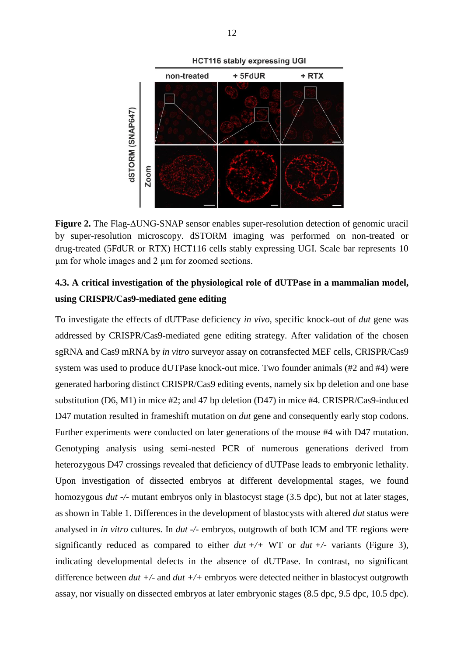

**Figure 2.** The Flag-ΔUNG-SNAP sensor enables super-resolution detection of genomic uracil by super-resolution microscopy. dSTORM imaging was performed on non-treated or drug-treated (5FdUR or RTX) HCT116 cells stably expressing UGI. Scale bar represents 10 µm for whole images and 2 µm for zoomed sections.

# **4.3. A critical investigation of the physiological role of dUTPase in a mammalian model, using CRISPR/Cas9-mediated gene editing**

To investigate the effects of dUTPase deficiency *in vivo*, specific knock-out of *dut* gene was addressed by CRISPR/Cas9-mediated gene editing strategy. After validation of the chosen sgRNA and Cas9 mRNA by *in vitro* surveyor assay on cotransfected MEF cells, CRISPR/Cas9 system was used to produce dUTPase knock-out mice. Two founder animals (#2 and #4) were generated harboring distinct CRISPR/Cas9 editing events, namely six bp deletion and one base substitution (D6, M1) in mice #2; and 47 bp deletion (D47) in mice #4. CRISPR/Cas9-induced D47 mutation resulted in frameshift mutation on *dut* gene and consequently early stop codons. Further experiments were conducted on later generations of the mouse #4 with D47 mutation. Genotyping analysis using semi-nested PCR of numerous generations derived from heterozygous D47 crossings revealed that deficiency of dUTPase leads to embryonic lethality. Upon investigation of dissected embryos at different developmental stages, we found homozygous *dut -/-* mutant embryos only in blastocyst stage (3.5 dpc), but not at later stages, as shown in Table 1. Differences in the development of blastocysts with altered *dut* status were analysed in *in vitro* cultures. In *dut -/-* embryos, outgrowth of both ICM and TE regions were significantly reduced as compared to either  $du + \ell + WT$  or  $du + \ell$ - variants (Figure 3), indicating developmental defects in the absence of dUTPase. In contrast, no significant difference between *dut +/-* and *dut +/+* embryos were detected neither in blastocyst outgrowth assay, nor visually on dissected embryos at later embryonic stages (8.5 dpc, 9.5 dpc, 10.5 dpc).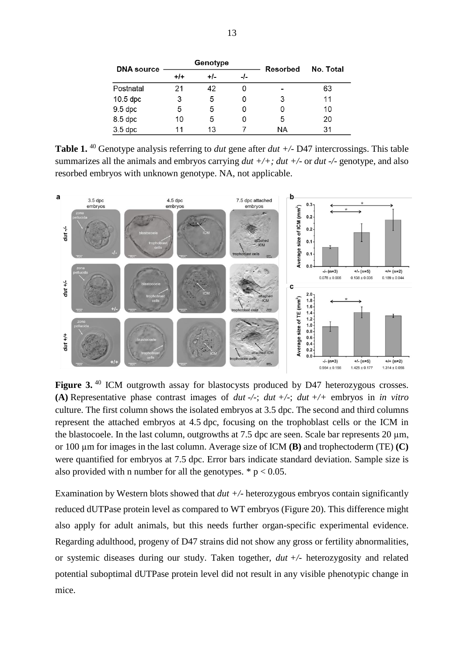| <b>DNA</b> source | Genotype |       |     | Resorbed | No. Total |
|-------------------|----------|-------|-----|----------|-----------|
|                   | $+/-$    | $+/-$ | -1- |          |           |
| Postnatal         | 21       | 42    |     |          | 63        |
| $10.5$ dpc        | 3        | 5     |     | 3        | 11        |
| $9.5$ dpc         | 5        | 5     |     |          | 10        |
| 8.5 dpc           | 10       | 5     |     | 5        | 20        |
| $3.5$ dpc         | 11       | 13    |     | ΝA       | 31        |

Table 1.<sup>40</sup> Genotype analysis referring to *dut* gene after *dut* +/- D47 intercrossings. This table summarizes all the animals and embryos carrying *dut +/+; dut +/-* or *dut -/-* genotype, and also resorbed embryos with unknown genotype. NA, not applicable.



Figure 3.<sup>40</sup> ICM outgrowth assay for blastocysts produced by D47 heterozygous crosses. **(A)** Representative phase contrast images of *dut -/-*; *dut +/-*; *dut +/+* embryos in *in vitro* culture. The first column shows the isolated embryos at 3.5 dpc. The second and third columns represent the attached embryos at 4.5 dpc, focusing on the trophoblast cells or the ICM in the blastocoele. In the last column, outgrowths at 7.5 dpc are seen. Scale bar represents 20  $\mu$ m, or 100 µm for images in the last column. Average size of ICM **(B)** and trophectoderm (TE) **(C)** were quantified for embryos at 7.5 dpc. Error bars indicate standard deviation. Sample size is also provided with n number for all the genotypes.  $* p < 0.05$ .

Examination by Western blots showed that *dut +/-* heterozygous embryos contain significantly reduced dUTPase protein level as compared to WT embryos (Figure 20). This difference might also apply for adult animals, but this needs further organ-specific experimental evidence. Regarding adulthood, progeny of D47 strains did not show any gross or fertility abnormalities, or systemic diseases during our study. Taken together, *dut +/-* heterozygosity and related potential suboptimal dUTPase protein level did not result in any visible phenotypic change in mice.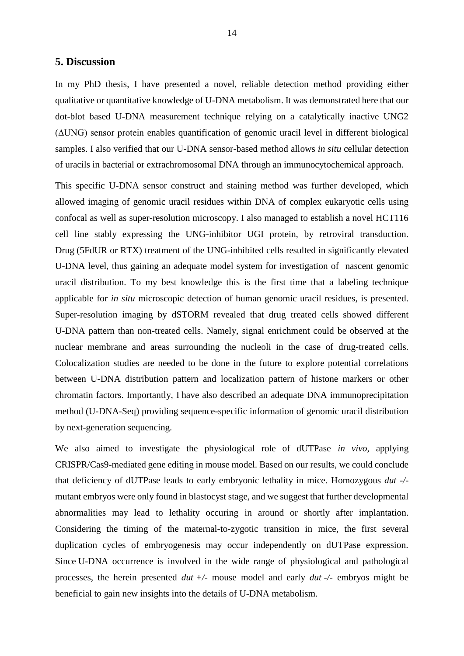## **5. Discussion**

In my PhD thesis, I have presented a novel, reliable detection method providing either qualitative or quantitative knowledge of U-DNA metabolism. It was demonstrated here that our dot-blot based U-DNA measurement technique relying on a catalytically inactive UNG2 (∆UNG) sensor protein enables quantification of genomic uracil level in different biological samples. I also verified that our U-DNA sensor-based method allows *in situ* cellular detection of uracils in bacterial or extrachromosomal DNA through an immunocytochemical approach.

This specific U-DNA sensor construct and staining method was further developed, which allowed imaging of genomic uracil residues within DNA of complex eukaryotic cells using confocal as well as super-resolution microscopy. I also managed to establish a novel HCT116 cell line stably expressing the UNG-inhibitor UGI protein, by retroviral transduction. Drug (5FdUR or RTX) treatment of the UNG-inhibited cells resulted in significantly elevated U-DNA level, thus gaining an adequate model system for investigation of nascent genomic uracil distribution. To my best knowledge this is the first time that a labeling technique applicable for *in situ* microscopic detection of human genomic uracil residues, is presented. Super-resolution imaging by dSTORM revealed that drug treated cells showed different U-DNA pattern than non-treated cells. Namely, signal enrichment could be observed at the nuclear membrane and areas surrounding the nucleoli in the case of drug-treated cells. Colocalization studies are needed to be done in the future to explore potential correlations between U-DNA distribution pattern and localization pattern of histone markers or other chromatin factors. Importantly, I have also described an adequate DNA immunoprecipitation method (U-DNA-Seq) providing sequence-specific information of genomic uracil distribution by next-generation sequencing.

We also aimed to investigate the physiological role of dUTPase *in vivo*, applying CRISPR/Cas9-mediated gene editing in mouse model. Based on our results, we could conclude that deficiency of dUTPase leads to early embryonic lethality in mice. Homozygous *dut -/* mutant embryos were only found in blastocyst stage, and we suggest that further developmental abnormalities may lead to lethality occuring in around or shortly after implantation. Considering the timing of the maternal-to-zygotic transition in mice, the first several duplication cycles of embryogenesis may occur independently on dUTPase expression. Since U-DNA occurrence is involved in the wide range of physiological and pathological processes, the herein presented *dut +/-* mouse model and early *dut -/-* embryos might be beneficial to gain new insights into the details of U-DNA metabolism.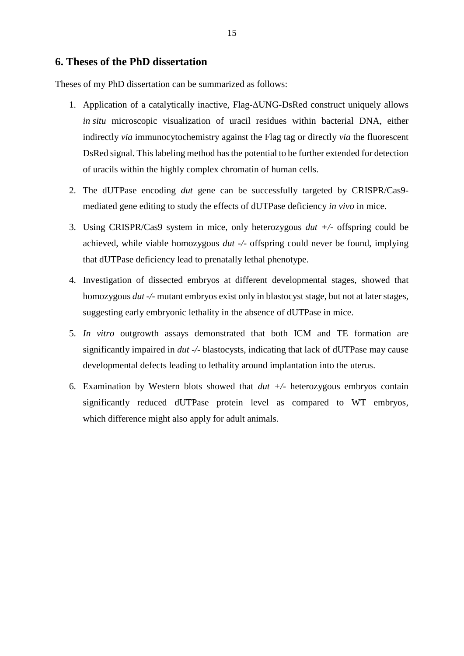## **6. Theses of the PhD dissertation**

Theses of my PhD dissertation can be summarized as follows:

- 1. Application of a catalytically inactive, Flag-∆UNG-DsRed construct uniquely allows *in situ* microscopic visualization of uracil residues within bacterial DNA, either indirectly *via* immunocytochemistry against the Flag tag or directly *via* the fluorescent DsRed signal. This labeling method has the potential to be further extended for detection of uracils within the highly complex chromatin of human cells.
- 2. The dUTPase encoding *dut* gene can be successfully targeted by CRISPR/Cas9 mediated gene editing to study the effects of dUTPase deficiency *in vivo* in mice.
- 3. Using CRISPR/Cas9 system in mice, only heterozygous *dut +/-* offspring could be achieved, while viable homozygous *dut -/-* offspring could never be found, implying that dUTPase deficiency lead to prenatally lethal phenotype.
- 4. Investigation of dissected embryos at different developmental stages, showed that homozygous *dut -/-* mutant embryos exist only in blastocyst stage, but not at later stages, suggesting early embryonic lethality in the absence of dUTPase in mice.
- 5. *In vitro* outgrowth assays demonstrated that both ICM and TE formation are significantly impaired in *dut -/-* blastocysts, indicating that lack of dUTPase may cause developmental defects leading to lethality around implantation into the uterus.
- 6. Examination by Western blots showed that *dut +/-* heterozygous embryos contain significantly reduced dUTPase protein level as compared to WT embryos, which difference might also apply for adult animals.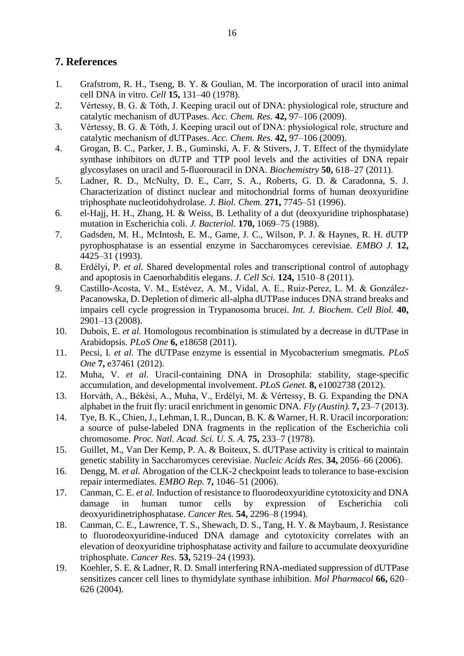# **7. References**

- 1. Grafstrom, R. H., Tseng, B. Y. & Goulian, M. The incorporation of uracil into animal cell DNA in vitro. *Cell* **15,** 131–40 (1978).
- 2. Vértessy, B. G. & Tóth, J. Keeping uracil out of DNA: physiological role, structure and catalytic mechanism of dUTPases. *Acc. Chem. Res.* **42,** 97–106 (2009).
- 3. Vértessy, B. G. & Tóth, J. Keeping uracil out of DNA: physiological role, structure and catalytic mechanism of dUTPases. *Acc. Chem. Res.* **42,** 97–106 (2009).
- 4. Grogan, B. C., Parker, J. B., Guminski, A. F. & Stivers, J. T. Effect of the thymidylate synthase inhibitors on dUTP and TTP pool levels and the activities of DNA repair glycosylases on uracil and 5-fluorouracil in DNA. *Biochemistry* **50,** 618–27 (2011).
- 5. Ladner, R. D., McNulty, D. E., Carr, S. A., Roberts, G. D. & Caradonna, S. J. Characterization of distinct nuclear and mitochondrial forms of human deoxyuridine triphosphate nucleotidohydrolase. *J. Biol. Chem.* **271,** 7745–51 (1996).
- 6. el-Hajj, H. H., Zhang, H. & Weiss, B. Lethality of a dut (deoxyuridine triphosphatase) mutation in Escherichia coli. *J. Bacteriol.* **170,** 1069–75 (1988).
- 7. Gadsden, M. H., McIntosh, E. M., Game, J. C., Wilson, P. J. & Haynes, R. H. dUTP pyrophosphatase is an essential enzyme in Saccharomyces cerevisiae. *EMBO J.* **12,** 4425–31 (1993).
- 8. Erdélyi, P. *et al.* Shared developmental roles and transcriptional control of autophagy and apoptosis in Caenorhabditis elegans. *J. Cell Sci.* **124,** 1510–8 (2011).
- 9. Castillo-Acosta, V. M., Estévez, A. M., Vidal, A. E., Ruiz-Perez, L. M. & González-Pacanowska, D. Depletion of dimeric all-alpha dUTPase induces DNA strand breaks and impairs cell cycle progression in Trypanosoma brucei. *Int. J. Biochem. Cell Biol.* **40,** 2901–13 (2008).
- 10. Dubois, E. *et al.* Homologous recombination is stimulated by a decrease in dUTPase in Arabidopsis. *PLoS One* **6,** e18658 (2011).
- 11. Pecsi, I. *et al.* The dUTPase enzyme is essential in Mycobacterium smegmatis. *PLoS One* **7,** e37461 (2012).
- 12. Muha, V. *et al.* Uracil-containing DNA in Drosophila: stability, stage-specific accumulation, and developmental involvement. *PLoS Genet.* **8,** e1002738 (2012).
- 13. Horváth, A., Békési, A., Muha, V., Erdélyi, M. & Vértessy, B. G. Expanding the DNA alphabet in the fruit fly: uracil enrichment in genomic DNA. *Fly (Austin).* **7,** 23–7 (2013).
- 14. Tye, B. K., Chien, J., Lehman, I. R., Duncan, B. K. & Warner, H. R. Uracil incorporation: a source of pulse-labeled DNA fragments in the replication of the Escherichia coli chromosome. *Proc. Natl. Acad. Sci. U. S. A.* **75,** 233–7 (1978).
- 15. Guillet, M., Van Der Kemp, P. A. & Boiteux, S. dUTPase activity is critical to maintain genetic stability in Saccharomyces cerevisiae. *Nucleic Acids Res.* **34,** 2056–66 (2006).
- 16. Dengg, M. *et al.* Abrogation of the CLK-2 checkpoint leads to tolerance to base-excision repair intermediates. *EMBO Rep.* **7,** 1046–51 (2006).
- 17. Canman, C. E. *et al.* Induction of resistance to fluorodeoxyuridine cytotoxicity and DNA damage in human tumor cells by expression of Escherichia coli deoxyuridinetriphosphatase. *Cancer Res.* **54,** 2296–8 (1994).
- 18. Canman, C. E., Lawrence, T. S., Shewach, D. S., Tang, H. Y. & Maybaum, J. Resistance to fluorodeoxyuridine-induced DNA damage and cytotoxicity correlates with an elevation of deoxyuridine triphosphatase activity and failure to accumulate deoxyuridine triphosphate. *Cancer Res.* **53,** 5219–24 (1993).
- 19. Koehler, S. E. & Ladner, R. D. Small interfering RNA-mediated suppression of dUTPase sensitizes cancer cell lines to thymidylate synthase inhibition. *Mol Pharmacol* **66,** 620– 626 (2004).